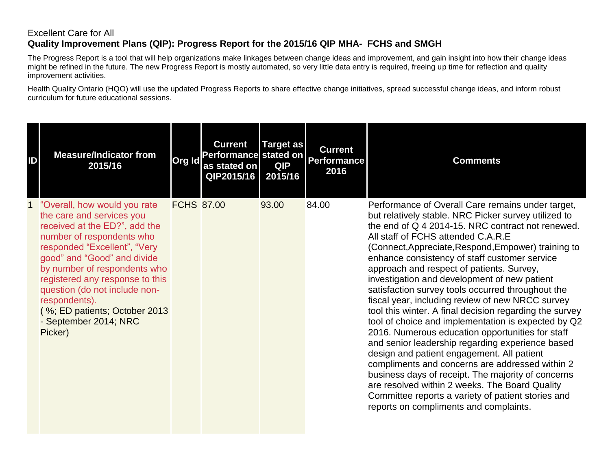## Excellent Care for All **Quality Improvement Plans (QIP): Progress Report for the 2015/16 QIP MHA- FCHS and SMGH**

The Progress Report is a tool that will help organizations make linkages between change ideas and improvement, and gain insight into how their change ideas might be refined in the future. The new Progress Report is mostly automated, so very little data entry is required, freeing up time for reflection and quality improvement activities.

Health Quality Ontario (HQO) will use the updated Progress Reports to share effective change initiatives, spread successful change ideas, and inform robust curriculum for future educational sessions.

| ID | <b>Measure/Indicator from</b><br>2015/16                                                                                                                                                                                                                                                                                                                                          | Org Id            | <b>Current</b><br>Performance stated on<br>as stated on<br>QIP2015/16 | <b>Target as</b><br><b>QIP</b><br>2015/16 | <b>Current</b><br><b>Performance</b><br>2016 | <b>Comments</b>                                                                                                                                                                                                                                                                                                                                                                                                                                                                                                                                                                                                                                                                                                                                                                                                                                                                                                                                                                                                                                       |
|----|-----------------------------------------------------------------------------------------------------------------------------------------------------------------------------------------------------------------------------------------------------------------------------------------------------------------------------------------------------------------------------------|-------------------|-----------------------------------------------------------------------|-------------------------------------------|----------------------------------------------|-------------------------------------------------------------------------------------------------------------------------------------------------------------------------------------------------------------------------------------------------------------------------------------------------------------------------------------------------------------------------------------------------------------------------------------------------------------------------------------------------------------------------------------------------------------------------------------------------------------------------------------------------------------------------------------------------------------------------------------------------------------------------------------------------------------------------------------------------------------------------------------------------------------------------------------------------------------------------------------------------------------------------------------------------------|
|    | "Overall, how would you rate<br>the care and services you<br>received at the ED?", add the<br>number of respondents who<br>responded "Excellent", "Very<br>good" and "Good" and divide<br>by number of respondents who<br>registered any response to this<br>question (do not include non-<br>respondents).<br>(%; ED patients; October 2013)<br>- September 2014; NRC<br>Picker) | <b>FCHS 87.00</b> |                                                                       | 93.00                                     | 84.00                                        | Performance of Overall Care remains under target,<br>but relatively stable. NRC Picker survey utilized to<br>the end of Q 4 2014-15. NRC contract not renewed.<br>All staff of FCHS attended C.A.R.E<br>(Connect, Appreciate, Respond, Empower) training to<br>enhance consistency of staff customer service<br>approach and respect of patients. Survey,<br>investigation and development of new patient<br>satisfaction survey tools occurred throughout the<br>fiscal year, including review of new NRCC survey<br>tool this winter. A final decision regarding the survey<br>tool of choice and implementation is expected by Q2<br>2016. Numerous education opportunities for staff<br>and senior leadership regarding experience based<br>design and patient engagement. All patient<br>compliments and concerns are addressed within 2<br>business days of receipt. The majority of concerns<br>are resolved within 2 weeks. The Board Quality<br>Committee reports a variety of patient stories and<br>reports on compliments and complaints. |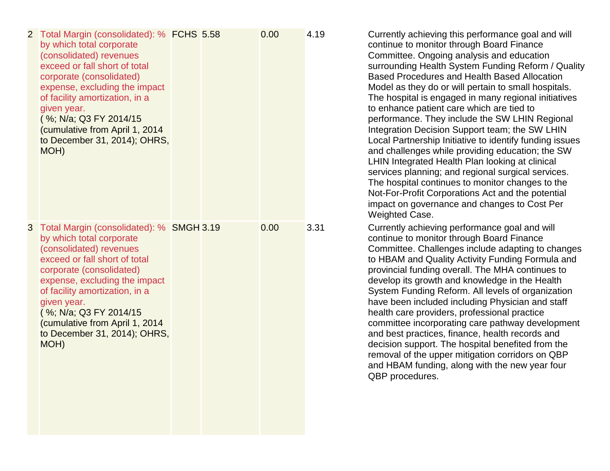| 2 Total Margin (consolidated): % FCHS 5.58<br>by which total corporate<br>(consolidated) revenues<br>exceed or fall short of total<br>corporate (consolidated)<br>expense, excluding the impact<br>of facility amortization, in a<br>given year.<br>(%; N/a; Q3 FY 2014/15<br>(cumulative from April 1, 2014<br>to December 31, 2014); OHRS,<br>MOH) |  | 0.00 | 4.19 | Currently achieving this performance goal and will<br>continue to monitor through Board Finance<br>Committee. Ongoing analysis and education<br>surrounding Health System Funding Reform / Quality<br>Based Procedures and Health Based Allocation<br>Model as they do or will pertain to small hospitals.<br>The hospital is engaged in many regional initiatives<br>to enhance patient care which are tied to<br>performance. They include the SW LHIN Regional<br>Integration Decision Support team; the SW LHIN<br>Local Partnership Initiative to identify funding issues<br>and challenges while providing education; the SW<br>LHIN Integrated Health Plan looking at clinical<br>services planning; and regional surgical services.<br>The hospital continues to monitor changes to the<br>Not-For-Profit Corporations Act and the potential<br>impact on governance and changes to Cost Per<br><b>Weighted Case.</b> |
|------------------------------------------------------------------------------------------------------------------------------------------------------------------------------------------------------------------------------------------------------------------------------------------------------------------------------------------------------|--|------|------|-------------------------------------------------------------------------------------------------------------------------------------------------------------------------------------------------------------------------------------------------------------------------------------------------------------------------------------------------------------------------------------------------------------------------------------------------------------------------------------------------------------------------------------------------------------------------------------------------------------------------------------------------------------------------------------------------------------------------------------------------------------------------------------------------------------------------------------------------------------------------------------------------------------------------------|
| 3 Total Margin (consolidated): % SMGH 3.19<br>by which total corporate<br>(consolidated) revenues<br>exceed or fall short of total<br>corporate (consolidated)<br>expense, excluding the impact<br>of facility amortization, in a<br>given year.<br>(%; N/a; Q3 FY 2014/15<br>(cumulative from April 1, 2014<br>to December 31, 2014); OHRS,<br>MOH) |  | 0.00 | 3.31 | Currently achieving performance goal and will<br>continue to monitor through Board Finance<br>Committee. Challenges include adapting to changes<br>to HBAM and Quality Activity Funding Formula and<br>provincial funding overall. The MHA continues to<br>develop its growth and knowledge in the Health<br>System Funding Reform. All levels of organization<br>have been included including Physician and staff<br>health care providers, professional practice<br>committee incorporating care pathway development<br>and best practices, finance, health records and<br>decision support. The hospital benefited from the<br>removal of the upper mitigation corridors on QBP<br>and HBAM funding, along with the new year four<br>QBP procedures.                                                                                                                                                                       |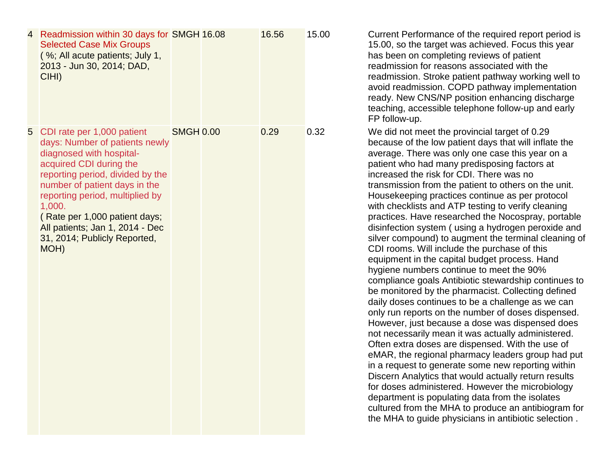| 4 | Readmission within 30 days for SMGH 16.08<br><b>Selected Case Mix Groups</b><br>(%; All acute patients; July 1,<br>2013 - Jun 30, 2014; DAD,<br>CIHI)                                                                                                                                                                                             |                  | 16.56 | 15.00 |
|---|---------------------------------------------------------------------------------------------------------------------------------------------------------------------------------------------------------------------------------------------------------------------------------------------------------------------------------------------------|------------------|-------|-------|
| 5 | CDI rate per 1,000 patient<br>days: Number of patients newly<br>diagnosed with hospital-<br>acquired CDI during the<br>reporting period, divided by the<br>number of patient days in the<br>reporting period, multiplied by<br>1,000.<br>(Rate per 1,000 patient days;<br>All patients; Jan 1, 2014 - Dec<br>31, 2014; Publicly Reported,<br>MOH) | <b>SMGH 0.00</b> | 0.29  | 0.32  |

Current Performance of the required report period is 15.00, so the target was achieved. Focus this year has been on completing reviews of patient readmission for reasons associated with the readmission. Stroke patient pathway working well to avoid readmission. COPD pathway implementation ready. New CNS/NP position enhancing discharge teaching, accessible telephone follow -up and early FP follow -up.

We did not meet the provincial target of 0.29 because of the low patient days that will inflate the average. There was only one case this year on a patient who had many predisposing factors at increased the risk for CDI. There was no transmission from the patient to others on the unit. Housekeeping practices continue as per protocol with checklists and ATP testing to verify cleaning practices. Have researched the Nocospray, portable disinfection system ( using a hydrogen peroxide and silver compound) to augment the terminal cleaning of CDI rooms. Will include the purchase of this equipment in the capital budget process. Hand hygiene numbers continue to meet the 90% compliance goals Antibiotic stewardship continues to be monitored by the pharmacist. Collecting defined daily doses continues to be a challenge as we can only run reports on the number of doses dispensed. However, just because a dose was dispensed does not necessarily mean it was actually administered. Often extra doses are dispensed. With the use of eMAR, the regional pharmacy leaders group had put in a request to generate some new reporting within Discern Analytics that would actually return results for doses administered. However the microbiology department is populating data from the isolates cultured from the MHA to produce an antibiogram for the MHA to guide physicians in antibiotic selection .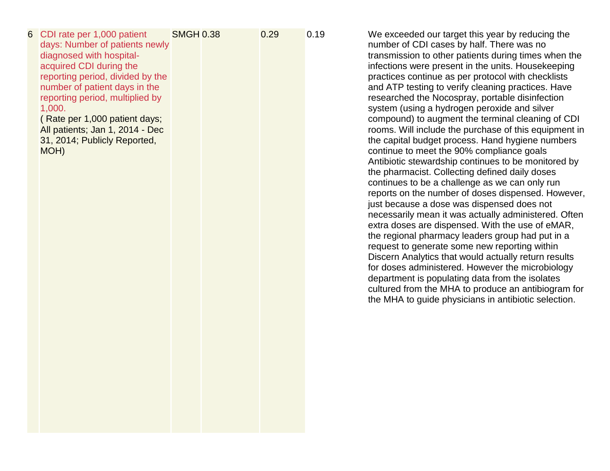| days: Number of patients newly<br>diagnosed with hospital-<br>acquired CDI during the<br>reporting period, divided by the<br>number of patient days in the<br>reporting period, multiplied by<br>1,000.<br>(Rate per 1,000 patient days;<br>All patients; Jan 1, 2014 - Dec<br>31, 2014; Publicly Reported,<br>MOH) |  |  | We exceeded our target this year by reducing the<br>number of CDI cases by half. There was no<br>transmission to other patients during times when the<br>infections were present in the units. Housekeeping<br>practices continue as per protocol with checklists<br>and ATP testing to verify cleaning practices. Have<br>researched the Nocospray, portable disinfection<br>system (using a hydrogen peroxide and silver<br>compound) to augment the terminal cleaning of CDI<br>rooms. Will include the purchase of this equipment in<br>the capital budget process. Hand hygiene numbers<br>continue to meet the 90% compliance goals<br>Antibiotic stewardship continues to be monitored by<br>the pharmacist. Collecting defined daily doses<br>continues to be a challenge as we can only run<br>reports on the number of doses dispensed. However,<br>just because a dose was dispensed does not<br>necessarily mean it was actually administered. Often<br>extra doses are dispensed. With the use of eMAR,<br>the regional pharmacy leaders group had put in a<br>request to generate some new reporting within<br>Discern Analytics that would actually return results<br>for doses administered. However the microbiology<br>department is populating data from the isolates<br>cultured from the MHA to produce an antibiogram for |
|---------------------------------------------------------------------------------------------------------------------------------------------------------------------------------------------------------------------------------------------------------------------------------------------------------------------|--|--|-------------------------------------------------------------------------------------------------------------------------------------------------------------------------------------------------------------------------------------------------------------------------------------------------------------------------------------------------------------------------------------------------------------------------------------------------------------------------------------------------------------------------------------------------------------------------------------------------------------------------------------------------------------------------------------------------------------------------------------------------------------------------------------------------------------------------------------------------------------------------------------------------------------------------------------------------------------------------------------------------------------------------------------------------------------------------------------------------------------------------------------------------------------------------------------------------------------------------------------------------------------------------------------------------------------------------------------------------|
|                                                                                                                                                                                                                                                                                                                     |  |  | 0.29<br>0.19<br>CDI rate per 1,000 patient<br><b>SMGH 0.38</b>                                                                                                                                                                                                                                                                                                                                                                                                                                                                                                                                                                                                                                                                                                                                                                                                                                                                                                                                                                                                                                                                                                                                                                                                                                                                                  |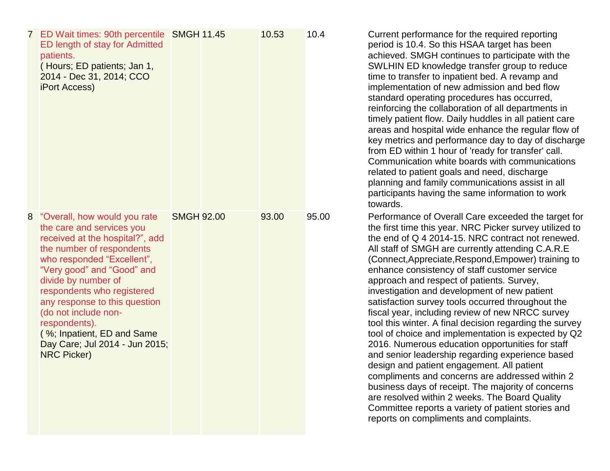|   | 7 ED Wait times: 90th percentile SMGH 11.45<br>ED length of stay for Admitted<br>patients.<br>(Hours; ED patients; Jan 1,<br>2014 - Dec 31, 2014; CCO<br><b>iPort Access)</b>                                                                                                                                                                                                                              |                   | 10.53 | 10.4  | Cu<br>per<br>acl<br><b>SV</b><br>tim<br>im<br>sta<br>reil<br>tim<br>are<br>key<br>fro<br>Co<br>rela<br>pla<br>par<br>tov                                        |
|---|------------------------------------------------------------------------------------------------------------------------------------------------------------------------------------------------------------------------------------------------------------------------------------------------------------------------------------------------------------------------------------------------------------|-------------------|-------|-------|-----------------------------------------------------------------------------------------------------------------------------------------------------------------|
| 8 | "Overall, how would you rate<br>the care and services you<br>received at the hospital?", add<br>the number of respondents<br>who responded "Excellent",<br>"Very good" and "Good" and<br>divide by number of<br>respondents who registered<br>any response to this question<br>(do not include non-<br>respondents).<br>(%; Inpatient, ED and Same<br>Day Care; Jul 2014 - Jun 2015;<br><b>NRC Picker)</b> | <b>SMGH 92.00</b> | 93.00 | 95.00 | Pe<br>the<br>the<br>All<br>(C <sub>0</sub> )<br>enl<br>ap<br>inv<br>sat<br>fiso<br>toc<br>too<br>20 <sup>1</sup><br>an<br>des<br>COI<br>bus<br>are<br>Co<br>rep |

Irrent performance for the required reporting riod is 10.4. So this HSAA target has been hieved. SMGH continues to participate with the VLHIN ED knowledge transfer group to reduce e to transfer to inpatient bed. A revamp and plementation of new admission and bed flow indard operating procedures has occurred, nforcing the collaboration of all departments in ely patient flow. Daily huddles in all patient care eas and hospital wide enhance the regular flow of y metrics and performance day to day of discharge m ED within 1 hour of 'ready for transfer' call. mmunication white boards with communications ated to patient goals and need, discharge inning and family communications assist in all rticipants having the same information to work vards.

erformance of Overall Care exceeded the target for e first time this year. NRC Picker survey utilized to the end of Q 4 2014 -15. NRC contract not renewed. staff of SMGH are currently attending C.A.R.E. onnect,Appreciate,Respond,Empower) training to hance consistency of staff customer service proach and respect of patients. Survey, estigation and development of new patient tisfaction survey tools occurred throughout the cal year, including review of new NRCC survey ol this winter. A final decision regarding the survey ol of choice and implementation is expected by Q2 16. Numerous education opportunities for staff d senior leadership regarding experience based sign and patient engagement. All patient mpliments and concerns are addressed within 2 siness days of receipt. The majority of concerns e resolved within 2 weeks. The Board Quality ommittee reports a variety of patient stories and ports on compliments and complaints.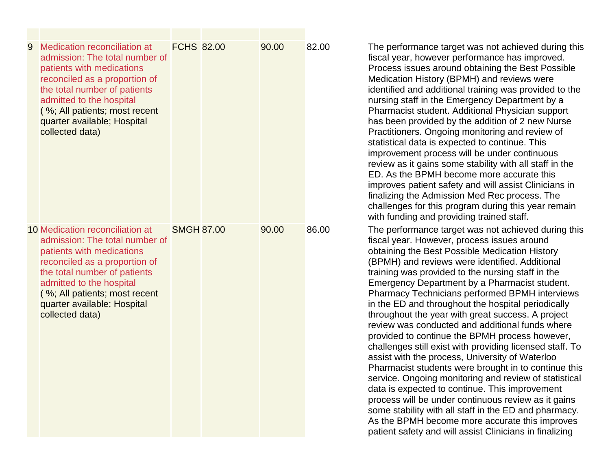| 9 | Medication reconciliation at<br>admission: The total number of<br>patients with medications<br>reconciled as a proportion of<br>the total number of patients<br>admitted to the hospital<br>(%; All patients; most recent<br>quarter available; Hospital<br>collected data)    | <b>FCHS 82.00</b> | 90.00 | 82.00 | The performance target was not achieved during this<br>fiscal year, however performance has improved.<br>Process issues around obtaining the Best Possible<br>Medication History (BPMH) and reviews were<br>identified and additional training was provided to the<br>nursing staff in the Emergency Department by a<br>Pharmacist student. Additional Physician support<br>has been provided by the addition of 2 new Nurse<br>Practitioners. Ongoing monitoring and review of<br>statistical data is expected to continue. This<br>improvement process will be under continuous<br>review as it gains some stability with all staff in the<br>ED. As the BPMH become more accurate this<br>improves patient safety and will assist Clinicians in<br>finalizing the Admission Med Rec process. The<br>challenges for this program during this year remain<br>with funding and providing trained staff.                                                                                                                                                                                       |
|---|--------------------------------------------------------------------------------------------------------------------------------------------------------------------------------------------------------------------------------------------------------------------------------|-------------------|-------|-------|-----------------------------------------------------------------------------------------------------------------------------------------------------------------------------------------------------------------------------------------------------------------------------------------------------------------------------------------------------------------------------------------------------------------------------------------------------------------------------------------------------------------------------------------------------------------------------------------------------------------------------------------------------------------------------------------------------------------------------------------------------------------------------------------------------------------------------------------------------------------------------------------------------------------------------------------------------------------------------------------------------------------------------------------------------------------------------------------------|
|   | 10 Medication reconciliation at<br>admission: The total number of<br>patients with medications<br>reconciled as a proportion of<br>the total number of patients<br>admitted to the hospital<br>(%; All patients; most recent<br>quarter available; Hospital<br>collected data) | <b>SMGH 87.00</b> | 90.00 | 86.00 | The performance target was not achieved during this<br>fiscal year. However, process issues around<br>obtaining the Best Possible Medication History<br>(BPMH) and reviews were identified. Additional<br>training was provided to the nursing staff in the<br>Emergency Department by a Pharmacist student.<br>Pharmacy Technicians performed BPMH interviews<br>in the ED and throughout the hospital periodically<br>throughout the year with great success. A project<br>review was conducted and additional funds where<br>provided to continue the BPMH process however,<br>challenges still exist with providing licensed staff. To<br>assist with the process, University of Waterloo<br>Pharmacist students were brought in to continue this<br>service. Ongoing monitoring and review of statistical<br>data is expected to continue. This improvement<br>process will be under continuous review as it gains<br>some stability with all staff in the ED and pharmacy.<br>As the BPMH become more accurate this improves<br>patient safety and will assist Clinicians in finalizing |